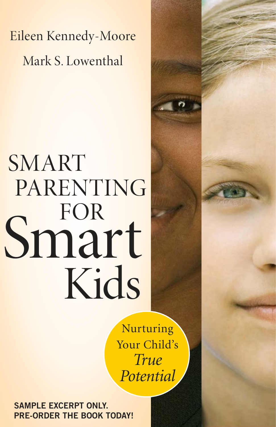Eileen Kennedy-Moore Mark S. Lowenthal

# SMART PARENTING Smart Kids

Nurturing Your Child's *True Potential*

**SAMPLE EXCERPT ONLY. PRE-ORDER THE BOOK TODAY!**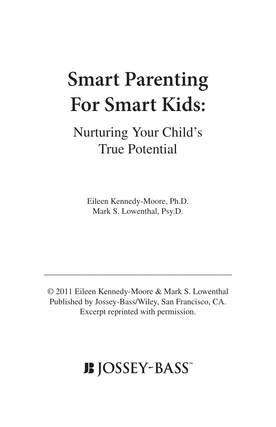# **Smart Parenting For Smart Kids:**

### Nurturing Your Child's True Potential

Eileen Kennedy-Moore, Ph.D. Mark S. Lowenthal, Psy.D.

© 2011 Eileen Kennedy-Moore & Mark S. Lowenthal Published by Jossey-Bass/Wiley, San Francisco, CA. Excerpt reprinted with permission.

\_\_\_\_\_\_\_\_\_\_\_\_\_\_\_\_\_\_\_\_\_\_\_\_\_\_\_\_\_\_\_\_\_\_\_\_\_\_\_\_\_\_\_\_\_

## **B** JOSSEY-BASS<sup>\*\*</sup>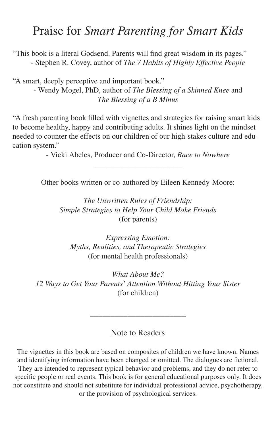#### Praise for *Smart Parenting for Smart Kids*

"This book is a literal Godsend. Parents will find great wisdom in its pages." - Stephen R. Covey, author of *The 7 Habits of Highly Effective People* 

"A smart, deeply perceptive and important book." - Wendy Mogel, PhD, author of *The Blessing of a Skinned Knee* and *The Blessing of a B Minus* 

"A fresh parenting book filled with vignettes and strategies for raising smart kids to become healthy, happy and contributing adults. It shines light on the mindset needed to counter the effects on our children of our high-stakes culture and education system."

> - Vicki Abeles, Producer and Co-Director, *Race to Nowhere* \_\_\_\_\_\_\_\_\_\_\_\_\_\_\_\_\_\_\_\_\_\_\_

Other books written or co-authored by Eileen Kennedy-Moore:

*The Unwritten Rules of Friendship: Simple Strategies to Help Your Child Make Friends* (for parents)

*Expressing Emotion: Myths, Realities, and Therapeutic Strategies* (for mental health professionals)

*What About Me? 12 Ways to Get Your Parents' Attention Without Hitting Your Sister* (for children)

Note to Readers

\_\_\_\_\_\_\_\_\_\_\_\_\_\_\_\_\_\_\_\_\_\_\_

The vignettes in this book are based on composites of children we have known. Names and identifying information have been changed or omitted. The dialogues are fictional. They are intended to represent typical behavior and problems, and they do not refer to specific people or real events. This book is for general educational purposes only. It does not constitute and should not substitute for individual professional advice, psychotherapy, or the provision of psychological services.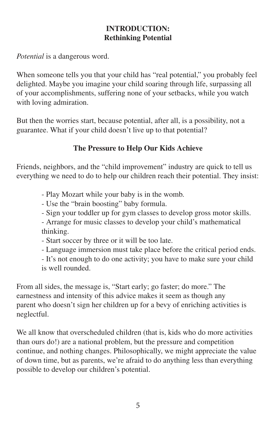#### **INTRODUCTION: Rethinking Potential**

*Potential* is a dangerous word.

When someone tells you that your child has "real potential," you probably feel delighted. Maybe you imagine your child soaring through life, surpassing all of your accomplishments, suffering none of your setbacks, while you watch with loving admiration.

But then the worries start, because potential, after all, is a possibility, not a guarantee. What if your child doesn't live up to that potential?

#### **The Pressure to Help Our Kids Achieve**

Friends, neighbors, and the "child improvement" industry are quick to tell us everything we need to do to help our children reach their potential. They insist:

- Play Mozart while your baby is in the womb.
- Use the "brain boosting" baby formula.
- Sign your toddler up for gym classes to develop gross motor skills.
- Arrange for music classes to develop your child's mathematical thinking.
- Start soccer by three or it will be too late.
- Language immersion must take place before the critical period ends.
- It's not enough to do one activity; you have to make sure your child is well rounded.

From all sides, the message is, "Start early; go faster; do more." The earnestness and intensity of this advice makes it seem as though any parent who doesn't sign her children up for a bevy of enriching activities is neglectful.

We all know that overscheduled children (that is, kids who do more activities than ours do!) are a national problem, but the pressure and competition continue, and nothing changes. Philosophically, we might appreciate the value of down time, but as parents, we're afraid to do anything less than everything possible to develop our children's potential.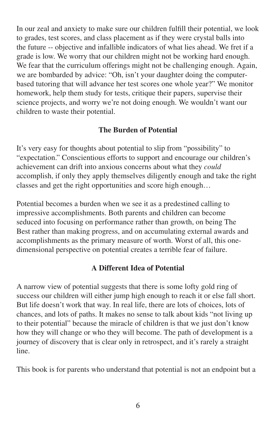In our zeal and anxiety to make sure our children fulfill their potential, we look to grades, test scores, and class placement as if they were crystal balls into the future -- objective and infallible indicators of what lies ahead. We fret if a grade is low. We worry that our children might not be working hard enough. We fear that the curriculum offerings might not be challenging enough. Again, we are bombarded by advice: "Oh, isn't your daughter doing the computerbased tutoring that will advance her test scores one whole year?" We monitor homework, help them study for tests, critique their papers, supervise their science projects, and worry we're not doing enough. We wouldn't want our children to waste their potential.

#### **The Burden of Potential**

It's very easy for thoughts about potential to slip from "possibility" to "expectation." Conscientious efforts to support and encourage our children's achievement can drift into anxious concerns about what they *could*  accomplish, if only they apply themselves diligently enough and take the right classes and get the right opportunities and score high enough…

Potential becomes a burden when we see it as a predestined calling to impressive accomplishments. Both parents and children can become seduced into focusing on performance rather than growth, on being The Best rather than making progress, and on accumulating external awards and accomplishments as the primary measure of worth. Worst of all, this onedimensional perspective on potential creates a terrible fear of failure.

#### **A Different Idea of Potential**

A narrow view of potential suggests that there is some lofty gold ring of success our children will either jump high enough to reach it or else fall short. But life doesn't work that way. In real life, there are lots of choices, lots of chances, and lots of paths. It makes no sense to talk about kids "not living up to their potential" because the miracle of children is that we just don't know how they will change or who they will become. The path of development is a journey of discovery that is clear only in retrospect, and it's rarely a straight line.

This book is for parents who understand that potential is not an endpoint but a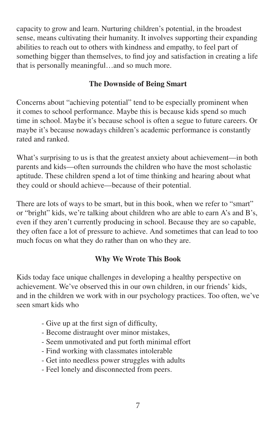capacity to grow and learn. Nurturing children's potential, in the broadest sense, means cultivating their humanity. It involves supporting their expanding abilities to reach out to others with kindness and empathy, to feel part of something bigger than themselves, to find joy and satisfaction in creating a life that is personally meaningful…and so much more.

#### **The Downside of Being Smart**

Concerns about "achieving potential" tend to be especially prominent when it comes to school performance. Maybe this is because kids spend so much time in school. Maybe it's because school is often a segue to future careers. Or maybe it's because nowadays children's academic performance is constantly rated and ranked.

What's surprising to us is that the greatest anxiety about achievement—in both parents and kids—often surrounds the children who have the most scholastic aptitude. These children spend a lot of time thinking and hearing about what they could or should achieve—because of their potential.

There are lots of ways to be smart, but in this book, when we refer to "smart" or "bright" kids, we're talking about children who are able to earn A's and B's, even if they aren't currently producing in school. Because they are so capable, they often face a lot of pressure to achieve. And sometimes that can lead to too much focus on what they do rather than on who they are.

#### **Why We Wrote This Book**

Kids today face unique challenges in developing a healthy perspective on achievement. We've observed this in our own children, in our friends' kids, and in the children we work with in our psychology practices. Too often, we've seen smart kids who

- Give up at the first sign of difficulty,
- Become distraught over minor mistakes,
- Seem unmotivated and put forth minimal effort
- Find working with classmates intolerable
- Get into needless power struggles with adults
- Feel lonely and disconnected from peers.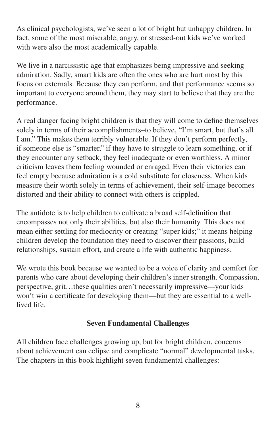As clinical psychologists, we've seen a lot of bright but unhappy children. In fact, some of the most miserable, angry, or stressed-out kids we've worked with were also the most academically capable.

We live in a narcissistic age that emphasizes being impressive and seeking admiration. Sadly, smart kids are often the ones who are hurt most by this focus on externals. Because they can perform, and that performance seems so important to everyone around them, they may start to believe that they are the performance.

A real danger facing bright children is that they will come to define themselves solely in terms of their accomplishments–to believe, "I'm smart, but that's all I am." This makes them terribly vulnerable. If they don't perform perfectly, if someone else is "smarter," if they have to struggle to learn something, or if they encounter any setback, they feel inadequate or even worthless. A minor criticism leaves them feeling wounded or enraged. Even their victories can feel empty because admiration is a cold substitute for closeness. When kids measure their worth solely in terms of achievement, their self-image becomes distorted and their ability to connect with others is crippled.

The antidote is to help children to cultivate a broad self-definition that encompasses not only their abilities, but also their humanity. This does not mean either settling for mediocrity or creating "super kids;" it means helping children develop the foundation they need to discover their passions, build relationships, sustain effort, and create a life with authentic happiness.

We wrote this book because we wanted to be a voice of clarity and comfort for parents who care about developing their children's inner strength. Compassion, perspective, grit…these qualities aren't necessarily impressive—your kids won't win a certificate for developing them—but they are essential to a welllived life.

#### **Seven Fundamental Challenges**

All children face challenges growing up, but for bright children, concerns about achievement can eclipse and complicate "normal" developmental tasks. The chapters in this book highlight seven fundamental challenges: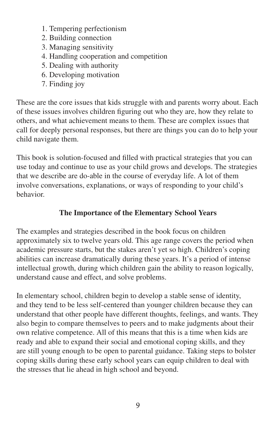- 1. Tempering perfectionism
- 2. Building connection
- 3. Managing sensitivity
- 4. Handling cooperation and competition
- 5. Dealing with authority
- 6. Developing motivation
- 7. Finding joy

These are the core issues that kids struggle with and parents worry about. Each of these issues involves children figuring out who they are, how they relate to others, and what achievement means to them. These are complex issues that call for deeply personal responses, but there are things you can do to help your child navigate them.

This book is solution-focused and filled with practical strategies that you can use today and continue to use as your child grows and develops. The strategies that we describe are do-able in the course of everyday life. A lot of them involve conversations, explanations, or ways of responding to your child's behavior.

#### **The Importance of the Elementary School Years**

The examples and strategies described in the book focus on children approximately six to twelve years old. This age range covers the period when academic pressure starts, but the stakes aren't yet so high. Children's coping abilities can increase dramatically during these years. It's a period of intense intellectual growth, during which children gain the ability to reason logically, understand cause and effect, and solve problems.

In elementary school, children begin to develop a stable sense of identity, and they tend to be less self-centered than younger children because they can understand that other people have different thoughts, feelings, and wants. They also begin to compare themselves to peers and to make judgments about their own relative competence. All of this means that this is a time when kids are ready and able to expand their social and emotional coping skills, and they are still young enough to be open to parental guidance. Taking steps to bolster coping skills during these early school years can equip children to deal with the stresses that lie ahead in high school and beyond.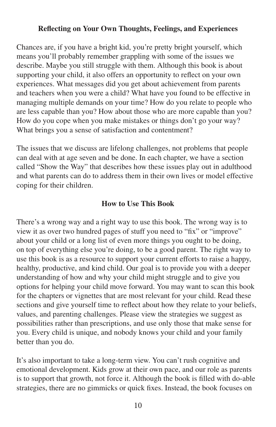#### **Reflecting on Your Own Thoughts, Feelings, and Experiences**

Chances are, if you have a bright kid, you're pretty bright yourself, which means you'll probably remember grappling with some of the issues we describe. Maybe you still struggle with them. Although this book is about supporting your child, it also offers an opportunity to reflect on your own experiences. What messages did you get about achievement from parents and teachers when you were a child? What have you found to be effective in managing multiple demands on your time? How do you relate to people who are less capable than you? How about those who are more capable than you? How do you cope when you make mistakes or things don't go your way? What brings you a sense of satisfaction and contentment?

The issues that we discuss are lifelong challenges, not problems that people can deal with at age seven and be done. In each chapter, we have a section called "Show the Way" that describes how these issues play out in adulthood and what parents can do to address them in their own lives or model effective coping for their children.

#### **How to Use This Book**

There's a wrong way and a right way to use this book. The wrong way is to view it as over two hundred pages of stuff you need to "fix" or "improve" about your child or a long list of even more things you ought to be doing, on top of everything else you're doing, to be a good parent. The right way to use this book is as a resource to support your current efforts to raise a happy, healthy, productive, and kind child. Our goal is to provide you with a deeper understanding of how and why your child might struggle and to give you options for helping your child move forward. You may want to scan this book for the chapters or vignettes that are most relevant for your child. Read these sections and give yourself time to reflect about how they relate to your beliefs, values, and parenting challenges. Please view the strategies we suggest as possibilities rather than prescriptions, and use only those that make sense for you. Every child is unique, and nobody knows your child and your family better than you do.

It's also important to take a long-term view. You can't rush cognitive and emotional development. Kids grow at their own pace, and our role as parents is to support that growth, not force it. Although the book is filled with do-able strategies, there are no gimmicks or quick fixes. Instead, the book focuses on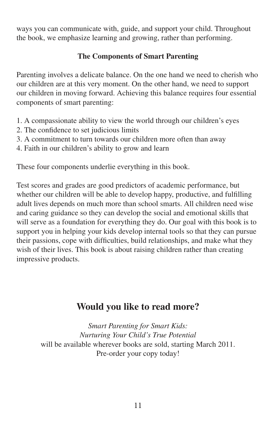ways you can communicate with, guide, and support your child. Throughout the book, we emphasize learning and growing, rather than performing.

#### **The Components of Smart Parenting**

Parenting involves a delicate balance. On the one hand we need to cherish who our children are at this very moment. On the other hand, we need to support our children in moving forward. Achieving this balance requires four essential components of smart parenting:

- 1. A compassionate ability to view the world through our children's eyes
- 2. The confidence to set judicious limits
- 3. A commitment to turn towards our children more often than away
- 4. Faith in our children's ability to grow and learn

These four components underlie everything in this book.

Test scores and grades are good predictors of academic performance, but whether our children will be able to develop happy, productive, and fulfilling adult lives depends on much more than school smarts. All children need wise and caring guidance so they can develop the social and emotional skills that will serve as a foundation for everything they do. Our goal with this book is to support you in helping your kids develop internal tools so that they can pursue their passions, cope with difficulties, build relationships, and make what they wish of their lives. This book is about raising children rather than creating impressive products.

#### **Would you like to read more?**

*Smart Parenting for Smart Kids: Nurturing Your Child's True Potential* will be available wherever books are sold, starting March 2011. Pre-order your copy today!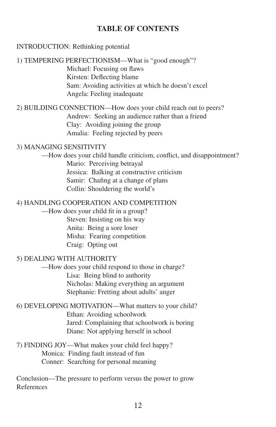#### **TABLE OF CONTENTS**

#### INTRODUCTION: Rethinking potential

1) TEMPERING PERFECTIONISM—What is "good enough"? Michael: Focusing on flaws Kirsten: Deflecting blame Sam: Avoiding activities at which he doesn't excel Angela: Feeling inadequate

2) BUILDING CONNECTION—How does your child reach out to peers? Andrew: Seeking an audience rather than a friend Clay: Avoiding joining the group Amalia: Feeling rejected by peers

#### 3) MANAGING SENSITIVITY

 —How does your child handle criticism, conflict, and disappointment? Mario: Perceiving betrayal Jessica: Balking at constructive criticism Samir: Chafing at a change of plans Collin: Shouldering the world's

#### 4) HANDLING COOPERATION AND COMPETITION

 —How does your child fit in a group? Steven: Insisting on his way Anita: Being a sore loser Misha: Fearing competition Craig: Opting out

#### 5) DEALING WITH AUTHORITY

 —How does your child respond to those in charge? Lisa: Being blind to authority Nicholas: Making everything an argument Stephanie: Fretting about adults' anger

- 6) DEVELOPING MOTIVATION—What matters to your child? Ethan: Avoiding schoolwork Jared: Complaining that schoolwork is boring Diane: Not applying herself in school
- 7) FINDING JOY—What makes your child feel happy? Monica: Finding fault instead of fun Conner: Searching for personal meaning

Conclusion—The pressure to perform versus the power to grow References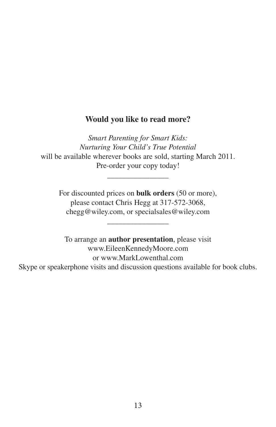#### **Would you like to read more?**

*Smart Parenting for Smart Kids: Nurturing Your Child's True Potential* will be available wherever books are sold, starting March 2011. Pre-order your copy today!

**\_\_\_\_\_\_\_\_\_\_\_\_\_\_\_\_**

For discounted prices on **bulk orders** (50 or more), please contact Chris Hegg at 317-572-3068, chegg@wiley.com, or specialsales@wiley.com

**\_\_\_\_\_\_\_\_\_\_\_\_\_\_\_\_**

To arrange an **author presentation**, please visit www.EileenKennedyMoore.com or www.MarkLowenthal.com Skype or speakerphone visits and discussion questions available for book clubs.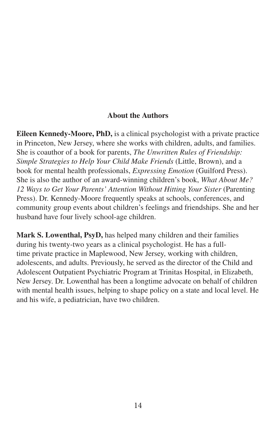#### **About the Authors**

**Eileen Kennedy-Moore, PhD,** is a clinical psychologist with a private practice in Princeton, New Jersey, where she works with children, adults, and families. She is coauthor of a book for parents, *The Unwritten Rules of Friendship: Simple Strategies to Help Your Child Make Friends* (Little, Brown), and a book for mental health professionals, *Expressing Emotion* (Guilford Press). She is also the author of an award-winning children's book, *What About Me? 12 Ways to Get Your Parents' Attention Without Hitting Your Sister* (Parenting Press). Dr. Kennedy-Moore frequently speaks at schools, conferences, and community group events about children's feelings and friendships. She and her husband have four lively school-age children.

**Mark S. Lowenthal, PsyD,** has helped many children and their families during his twenty-two years as a clinical psychologist. He has a fulltime private practice in Maplewood, New Jersey, working with children, adolescents, and adults. Previously, he served as the director of the Child and Adolescent Outpatient Psychiatric Program at Trinitas Hospital, in Elizabeth, New Jersey. Dr. Lowenthal has been a longtime advocate on behalf of children with mental health issues, helping to shape policy on a state and local level. He and his wife, a pediatrician, have two children.